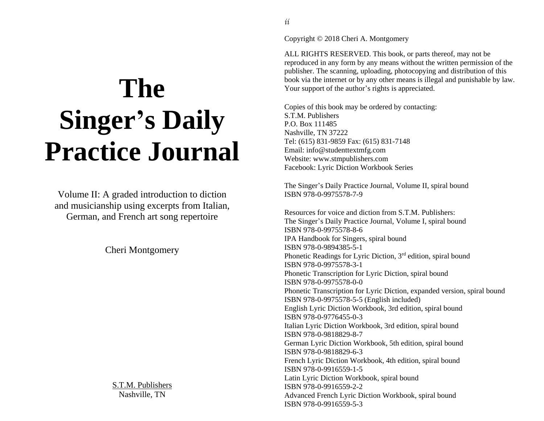# **The Singer's Daily Practice Journal**

Volume II: A graded introduction to diction and musicianship using excerpts from Italian, German, and French art song repertoire

Cheri Montgomery

S.T.M. Publishers Nashville, TN

Copyright © 2018 Cheri A. Montgomery

ALL RIGHTS RESERVED. This book, or parts thereof, may not be reproduced in any form by any means without the written permission of the publisher. The scanning, uploading, photocopying and distribution of this book via the internet or by any other means is illegal and punishable by law. Your support of the author's rights is appreciated.

Copies of this book may be ordered by contacting: S.T.M. Publishers P.O. Box 111485 Nashville, TN 37222 Tel: (615) 831-9859 Fax: (615) 831-7148 Email: info@studenttextmfg.com Website: www.stmpublishers.com Facebook: Lyric Diction Workbook Series

The Singer's Daily Practice Journal, Volume II, spiral bound ISBN 978-0-9975578-7-9

Resources for voice and diction from S.T.M. Publishers: The Singer's Daily Practice Journal, Volume I, spiral bound ISBN 978-0-9975578-8-6 IPA Handbook for Singers, spiral bound ISBN 978-0-9894385-5-1 Phonetic Readings for Lyric Diction, 3<sup>rd</sup> edition, spiral bound ISBN 978-0-9975578-3-1 Phonetic Transcription for Lyric Diction, spiral bound ISBN 978-0-9975578-0-0 Phonetic Transcription for Lyric Diction, expanded version, spiral bound ISBN 978-0-9975578-5-5 (English included) English Lyric Diction Workbook, 3rd edition, spiral bound ISBN 978-0-9776455-0-3 Italian Lyric Diction Workbook, 3rd edition, spiral bound ISBN 978-0-9818829-8-7 German Lyric Diction Workbook, 5th edition, spiral bound ISBN 978-0-9818829-6-3 French Lyric Diction Workbook, 4th edition, spiral bound ISBN 978-0-9916559-1-5 Latin Lyric Diction Workbook, spiral bound ISBN 978-0-9916559-2-2 Advanced French Lyric Diction Workbook, spiral bound ISBN 978-0-9916559-5-3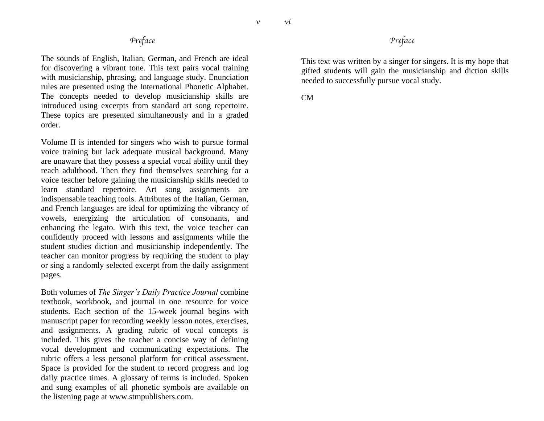*v*

#### *Preface*

The sounds of English, Italian, German, and French are ideal for discovering a vibrant tone. This text pairs vocal training with musicianship, phrasing, and language study. Enunciation rules are presented using the International Phonetic Alphabet. The concepts needed to develop musicianship skills are introduced using excerpts from standard art song repertoire. These topics are presented simultaneously and in a graded order.

Volume II is intended for singers who wish to pursue formal voice training but lack adequate musical background. Many are unaware that they possess a special vocal ability until they reach adulthood. Then they find themselves searching for a voice teacher before gaining the musicianship skills needed to learn standard repertoire. Art song assignments are indispensable teaching tools. Attributes of the Italian, German, and French languages are ideal for optimizing the vibrancy of vowels, energizing the articulation of consonants, and enhancing the legato. With this text, the voice teacher can confidently proceed with lessons and assignments while the student studies diction and musicianship independently. The teacher can monitor progress by requiring the student to play or sing a randomly selected excerpt from the daily assignment pages.

Both volumes of *The Singer's Daily Practice Journal* combine textbook, workbook, and journal in one resource for voice students. Each section of the 15-week journal begins with manuscript paper for recording weekly lesson notes, exercises, and assignments. A grading rubric of vocal concepts is included. This gives the teacher a concise way of defining vocal development and communicating expectations. The rubric offers a less personal platform for critical assessment. Space is provided for the student to record progress and log daily practice times. A glossary of terms is included. Spoken and sung examples of all phonetic symbols are available on the listening page at www.stmpublishers.com.

#### *Preface*

This text was written by a singer for singers. It is my hope that gifted students will gain the musicianship and diction skills needed to successfully pursue vocal study.

CM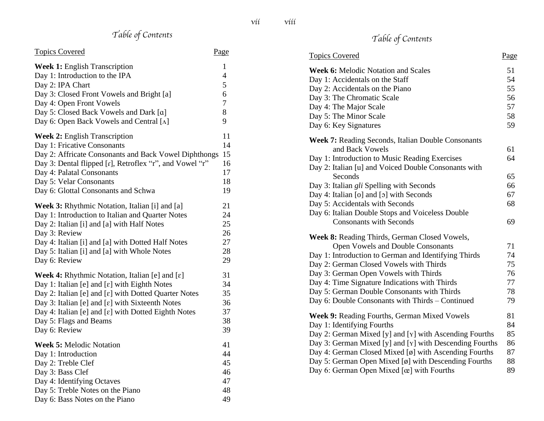## *Table of Contents*

| <b>Topics Covered</b>                                                  | Page                |
|------------------------------------------------------------------------|---------------------|
| <b>Week 1:</b> English Transcription<br>Day 1: Introduction to the IPA | 1<br>$\overline{4}$ |
| Day 2: IPA Chart                                                       | 5                   |
| Day 3: Closed Front Vowels and Bright [a]                              | 6                   |
| Day 4: Open Front Vowels                                               | $\overline{7}$      |
| Day 5: Closed Back Vowels and Dark [a]                                 | 8                   |
| Day 6: Open Back Vowels and Central [A]                                | 9                   |
| <b>Week 2: English Transcription</b>                                   | 11                  |
| Day 1: Fricative Consonants                                            | 14                  |
| Day 2: Affricate Consonants and Back Vowel Diphthongs                  | 15                  |
| Day 3: Dental flipped [r], Retroflex "r", and Vowel "r"                | 16                  |
| Day 4: Palatal Consonants                                              | 17                  |
| Day 5: Velar Consonants                                                | 18                  |
| Day 6: Glottal Consonants and Schwa                                    | 19                  |
| Week 3: Rhythmic Notation, Italian [i] and [a]                         | 21                  |
| Day 1: Introduction to Italian and Quarter Notes                       | 24                  |
| Day 2: Italian [i] and [a] with Half Notes                             | 25                  |
| Day 3: Review                                                          | 26                  |
| Day 4: Italian [i] and [a] with Dotted Half Notes                      | 27                  |
| Day 5: Italian [i] and [a] with Whole Notes                            | 28                  |
| Day 6: Review                                                          | 29                  |
| <b>Week 4:</b> Rhythmic Notation, Italian [e] and $[\epsilon]$         | 31                  |
| Day 1: Italian [e] and $[\varepsilon]$ with Eighth Notes               | 34                  |
| Day 2: Italian [e] and [ $\varepsilon$ ] with Dotted Quarter Notes     | 35                  |
| Day 3: Italian [e] and [ $\varepsilon$ ] with Sixteenth Notes          | 36                  |
| Day 4: Italian [e] and [ɛ] with Dotted Eighth Notes                    | 37                  |
| Day 5: Flags and Beams                                                 | 38                  |
| Day 6: Review                                                          | 39                  |
| <b>Week 5: Melodic Notation</b>                                        | 41                  |
| Day 1: Introduction                                                    | 44                  |
| Day 2: Treble Clef                                                     | 45                  |
| Day 3: Bass Clef                                                       | 46                  |
| Day 4: Identifying Octaves                                             | 47                  |
| Day 5: Treble Notes on the Piano                                       | 48                  |
| Day 6: Bass Notes on the Piano                                         | 49                  |

## *Table of Contents*

| <b>Topics Covered</b>                                                        | Page |
|------------------------------------------------------------------------------|------|
| <b>Week 6: Melodic Notation and Scales</b>                                   | 51   |
| Day 1: Accidentals on the Staff                                              | 54   |
| Day 2: Accidentals on the Piano                                              | 55   |
| Day 3: The Chromatic Scale                                                   | 56   |
| Day 4: The Major Scale                                                       | 57   |
| Day 5: The Minor Scale                                                       | 58   |
| Day 6: Key Signatures                                                        | 59   |
| <b>Week 7: Reading Seconds, Italian Double Consonants</b>                    |      |
| and Back Vowels                                                              | 61   |
| Day 1: Introduction to Music Reading Exercises                               | 64   |
| Day 2: Italian [u] and Voiced Double Consonants with                         |      |
| Seconds                                                                      | 65   |
| Day 3: Italian gli Spelling with Seconds                                     | 66   |
| Day 4: Italian [o] and [o] with Seconds                                      | 67   |
| Day 5: Accidentals with Seconds                                              | 68   |
| Day 6: Italian Double Stops and Voiceless Double                             |      |
| <b>Consonants with Seconds</b>                                               | 69   |
| <b>Week 8: Reading Thirds, German Closed Vowels,</b>                         |      |
| Open Vowels and Double Consonants                                            | 71   |
| Day 1: Introduction to German and Identifying Thirds                         | 74   |
| Day 2: German Closed Vowels with Thirds                                      | 75   |
| Day 3: German Open Vowels with Thirds                                        | 76   |
| Day 4: Time Signature Indications with Thirds                                | 77   |
| Day 5: German Double Consonants with Thirds                                  | 78   |
| Day 6: Double Consonants with Thirds - Continued                             | 79   |
| <b>Week 9: Reading Fourths, German Mixed Vowels</b>                          | 81   |
| Day 1: Identifying Fourths                                                   | 84   |
| Day 2: German Mixed [y] and [Y] with Ascending Fourths                       | 85   |
| Day 3: German Mixed [y] and [Y] with Descending Fourths                      | 86   |
| Day 4: German Closed Mixed [ø] with Ascending Fourths                        | 87   |
| Day 5: German Open Mixed $\lbrack \emptyset \rbrack$ with Descending Fourths | 88   |
| Day 6: German Open Mixed [œ] with Fourths                                    | 89   |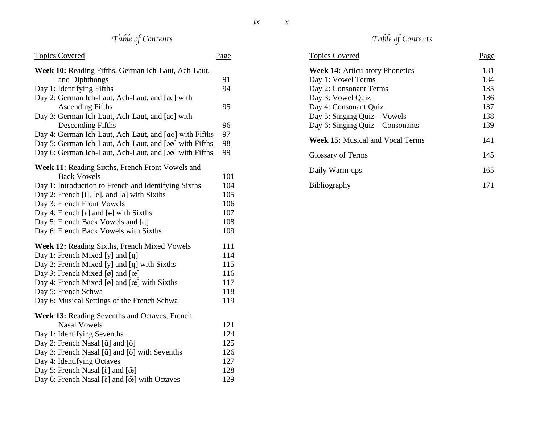## *Table of Contents*

| <b>Topics Covered</b>                                                            | Page |
|----------------------------------------------------------------------------------|------|
| Week 10: Reading Fifths, German Ich-Laut, Ach-Laut,                              |      |
| and Diphthongs                                                                   | 91   |
| Day 1: Identifying Fifths                                                        | 94   |
| Day 2: German Ich-Laut, Ach-Laut, and [ae] with                                  |      |
| <b>Ascending Fifths</b>                                                          | 95   |
| Day 3: German Ich-Laut, Ach-Laut, and [ae] with                                  |      |
| <b>Descending Fifths</b>                                                         | 96   |
| Day 4: German Ich-Laut, Ach-Laut, and [ao] with Fifths                           | 97   |
| Day 5: German Ich-Laut, Ach-Laut, and [oø] with Fifths                           | 98   |
| Day 6: German Ich-Laut, Ach-Laut, and [oø] with Fifths                           | 99   |
| Week 11: Reading Sixths, French Front Vowels and                                 |      |
| <b>Back Vowels</b>                                                               | 101  |
| Day 1: Introduction to French and Identifying Sixths                             | 104  |
| Day 2: French [i], [e], and [a] with Sixths                                      | 105  |
| Day 3: French Front Vowels                                                       | 106  |
| Day 4: French [ $\varepsilon$ ] and [ $\varepsilon$ ] with Sixths                | 107  |
| Day 5: French Back Vowels and [a]                                                | 108  |
| Day 6: French Back Vowels with Sixths                                            | 109  |
| Week 12: Reading Sixths, French Mixed Vowels                                     | 111  |
| Day 1: French Mixed [y] and [q]                                                  | 114  |
| Day 2: French Mixed [y] and [q] with Sixths                                      | 115  |
| Day 3: French Mixed [ø] and [œ]                                                  | 116  |
| Day 4: French Mixed [ø] and $[\alpha]$ with Sixths                               | 117  |
| Day 5: French Schwa                                                              | 118  |
| Day 6: Musical Settings of the French Schwa                                      | 119  |
| <b>Week 13: Reading Sevenths and Octaves, French</b>                             |      |
| <b>Nasal Vowels</b>                                                              | 121  |
| Day 1: Identifying Sevenths                                                      | 124  |
| Day 2: French Nasal [ $\tilde{a}$ ] and [ $\tilde{o}$ ]                          | 125  |
| Day 3: French Nasal [ $\tilde{a}$ ] and [ $\tilde{o}$ ] with Sevenths            | 126  |
| Day 4: Identifying Octaves                                                       | 127  |
| Day 5: French Nasal [ $\tilde{\epsilon}$ ] and [ $\tilde{\alpha}$ ]              | 128  |
| Day 6: French Nasal [ $\tilde{\epsilon}$ ] and [ $\tilde{\alpha}$ ] with Octaves | 129  |

## *Table of Contents*

| <b>Topics Covered</b>                   | Page |
|-----------------------------------------|------|
| <b>Week 14: Articulatory Phonetics</b>  | 131  |
| Day 1: Vowel Terms                      | 134  |
| Day 2: Consonant Terms                  | 135  |
| Day 3: Vowel Quiz                       | 136  |
| Day 4: Consonant Quiz                   | 137  |
| Day 5: Singing Quiz - Vowels            | 138  |
| Day 6: Singing Quiz $-$ Consonants      | 139  |
| <b>Week 15:</b> Musical and Vocal Terms | 141  |
| <b>Glossary of Terms</b>                | 145  |
| Daily Warm-ups                          | 165  |
| <b>Bibliography</b>                     | 171  |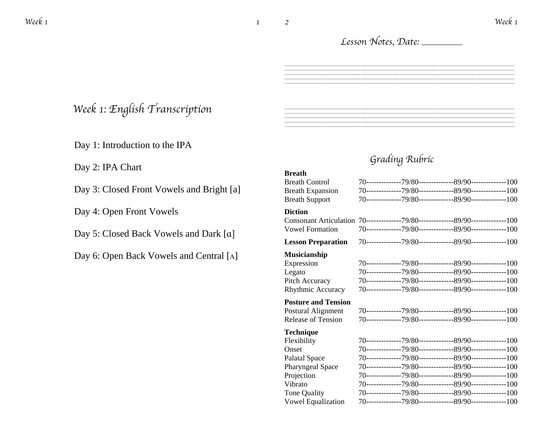#### *Lesson Notes, Date:*

 $=$ 

 $=$ 

*Grading Rubric*

### *Week 1: English Transcription*

Day 1: Introduction to the IPA

Day 2: IPA Chart

Day 3: Closed Front Vowels and Bright [a]

Day 4: Open Front Vowels

Day 5: Closed Back Vowels and Dark [ɑ]

Day 6: Open Back Vowels and Central [ʌ]

#### **Breath** Breath Control 70--------------79/80--------------89/90--------------100 Breath Expansion 70--------------79/80--------------89/90--------------100 Breath Support 70--------------79/80--------------89/90--------------100 **Diction** Consonant Articulation 70--------------79/80--------------89/90--------------100 Vowel Formation 70--------------79/80--------------89/90--------------100 **Lesson Preparation** 70--------------79/80---------------89/90---------------100 **Musicianship** Expression 70--------------79/80--------------89/90--------------100 Legato 70--------------79/80--------------89/90--------------100 Pitch Accuracy 70--------------79/80--------------89/90--------------100 Rhythmic Accuracy 70--------------79/80--------------89/90--------------100 **Posture and Tension** Postural Alignment 70--------------79/80--------------89/90--------------100 Release of Tension 70--------------79/80--------------89/90--------------100 **Technique** Flexibility 70--------------79/80--------------89/90--------------100 Onset 70--------------79/80--------------89/90--------------100 Palatal Space 70--------------79/80--------------89/90--------------100 Pharyngeal Space 70--------------79/80--------------89/90--------------100 Projection 70--------------79/80--------------89/90--------------100 Vibrato 70--------------79/80--------------89/90--------------100 Tone Quality 70--------------79/80--------------89/90--------------100 Vowel Equalization 70--------------79/80--------------89/90--------------100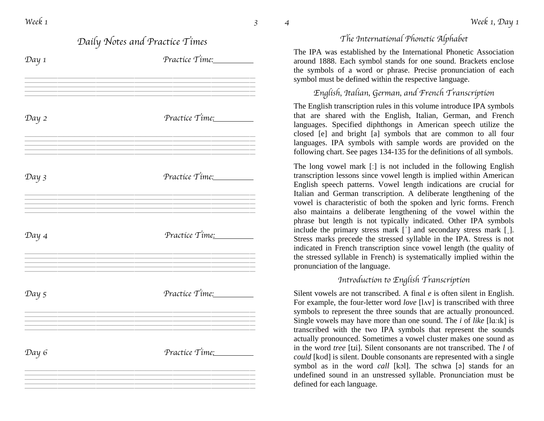|       | Daily Notes and Practice Times | I                                                                                                                                     |
|-------|--------------------------------|---------------------------------------------------------------------------------------------------------------------------------------|
| Day 1 | Practice Time:                 | The IPA was es<br>around 1888. E<br>the symbols of<br>symbol must be                                                                  |
|       |                                | English,                                                                                                                              |
| Day 2 | Practice Time:                 | The English tran<br>that are shared<br>languages. Spee<br>closed [e] and<br>languages. IPA<br>following chart.                        |
| Day 3 | Practice Time:                 | The long vowel<br>transcription les<br>English speech<br>Italian and Ger<br>vowel is charac                                           |
| Day 4 | Practice Time:                 | also maintains<br>phrase but leng<br>include the prin<br>Stress marks pr<br>indicated in Fre<br>the stressed syll<br>pronunciation of |
|       |                                | $\mathfrak{q}_\mathfrak{k}$                                                                                                           |
| Day 5 | Practice Time:                 | Silent vowels ar<br>For example, the<br>symbols to repr<br>Single vowels n<br>transcribed with                                        |
| Day 6 | Practice Time:                 | actually pronour<br>in the word tree<br>could [kod] is si<br>symbol as in t<br>undefined sound<br>defined for each                    |
|       |                                |                                                                                                                                       |

#### *The International Phonetic Alphabet*

stablished by the International Phonetic Association lach symbol stands for one sound. Brackets enclose a word or phrase. Precise pronunciation of each defined within the respective language.

#### *English, Italian, German, and French Transcription*

nscription rules in this volume introduce IPA symbols with the English, Italian, German, and French cified diphthongs in American speech utilize the bright [a] symbols that are common to all four symbols with sample words are provided on the See pages 134-135 for the definitions of all symbols.

mark  $\lceil$ : is not included in the following English ssons since vowel length is implied within American patterns. Vowel length indications are crucial for man transcription. A deliberate lengthening of the teristic of both the spoken and lyric forms. French a deliberate lengthening of the vowel within the gth is not typically indicated. Other IPA symbols mary stress mark  $[\ ]$  and secondary stress mark  $[$ ]. ecede the stressed syllable in the IPA. Stress is not ench transcription since vowel length (the quality of lable in French) is systematically implied within the f the language.

#### *Introduction to English Transcription*

Free not transcribed. A final  $e$  is often silent in English. e four-letter word *love* [lʌv] is transcribed with three resent the three sounds that are actually pronounced. nay have more than one sound. The *i* of *like* [lɑːɪk] is h the two IPA symbols that represent the sounds nced. Sometimes a vowel cluster makes one sound as [tii]. Silent consonants are not transcribed. The *l* of *could is a could consonants are represented with a single* the word *call* [kɔl]. The schwa [ə] stands for an d in an unstressed syllable. Pronunciation must be language.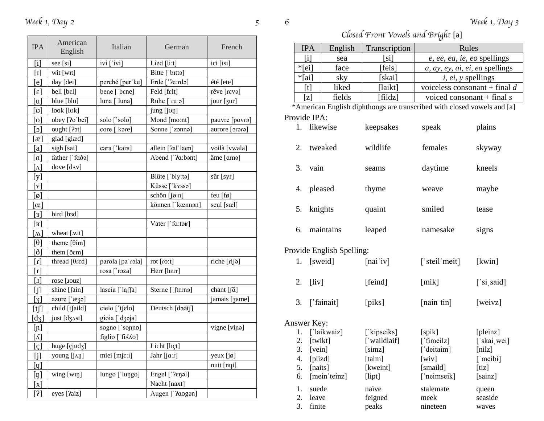| <b>IPA</b>                   | American<br>English | Italian                            | German                          | French         |
|------------------------------|---------------------|------------------------------------|---------------------------------|----------------|
| $\lceil i \rceil$            | see [si]            | $ivi$ [' $ivi$ ]                   | Lied [li:t]                     | ici [isi]      |
| $[1]$                        | wit [wɪt]           |                                    | Bitte ['bitta]                  |                |
| [e]                          | day [dei]           | perché [per'ke]                    | Erde ['?eːrdə]                  | été [ete]      |
| $\epsilon$ ]                 | bell [bɛl]          | bene ['bɛne]                       | Feld [fɛlt]                     | rêve [rɛvə]    |
| [u]                          | blue [blu]          | luna ['luna]                       | Ruhe ['ruːə]                    | jour [3ur]     |
| [ပ]                          | look [lok]          |                                    | jung [joŋ]                      |                |
| [0]                          | obey [?o'bei]       | solo ['solo]                       | Mond [mo:nt]                    | pauvre [povra] |
| $\lceil \circ \rceil$        | ought [?ot]         | core [ kore]                       | Sonne ['zonna]                  | aurore [orora] |
| $\lceil x \rceil$            | glad [glæd]         |                                    |                                 |                |
| [a]                          | sigh [sai]          | cara ['kara]                       | allein [?al'laen]               | voilà [vwala]  |
| $\alpha$                     | father ['faðə]      |                                    | Abend ['?a:bənt]                | âme [ama]      |
| $\lceil \Lambda \rceil$      | dove [dʌv]          |                                    |                                 |                |
| [y]                          |                     |                                    | Blüte ['bly:tə]                 | sûr [syr]      |
| $\lceil \texttt{Y} \rceil$   |                     |                                    | Küsse ['kyssa]                  |                |
| [ø]                          |                     |                                    | schön [føːn]                    | feu $[f\phi]$  |
| $\alpha$                     |                     |                                    | können [ˈkœnnən]                | seul [sœl]     |
| [3]                          | bird [b3d]          |                                    |                                 |                |
| $\lfloor \texttt{R} \rfloor$ |                     |                                    | Vater [' $fa$ :təʁ]             |                |
| $\Delta$                     | wheat [mit]         |                                    |                                 |                |
| [θ]                          | theme $[0im]$       |                                    |                                 |                |
| [ð]                          | them [ðɛm]          |                                    |                                 |                |
| $\lceil \cdot \rceil$        | thread [θrεd]       | parola [pa' rola]                  | rot[rot]                        | riche [rifə]   |
| [r]                          |                     | rosa ['roza]                       | Herr [hɛrr]                     |                |
| $[1]$                        | rose [.ouz]         |                                    |                                 |                |
| ſЛ                           | shine [fain]        | $lascia \lceil la \lceil a \rceil$ | Sterne [ $ $ ft $\epsilon$ rna] | chant [fɑ̃]    |
| $[3]$                        | azure ['æʒə]        |                                    |                                 | jamais [3ame]  |
| [t]                          | child [tʃaild]      | cielo ['tʃɛlo]                     | Deutsch [doøtf]                 |                |
| [dʒ]                         | just [dʒʌst]        | gioia ['dʒɔja]                     |                                 |                |
| [n]                          |                     | sogno ['sonno]                     |                                 | vigne [vinə]   |
| $\lceil \Lambda \rceil$      |                     | figlio ['fi Ao]                    |                                 |                |
| [c]                          | huge [çjudʒ]        |                                    | Licht [lɪçt]                    |                |
| [i]                          | young [jʌŋ]         | miei [mjɛːi]                       | Jahr [jɑːr]                     | yeux [jø]      |
| $[\mathfrak{q}]$             |                     |                                    |                                 | nuit [nyi]     |
| $[\mathfrak{n}]$             | wing[wn]            | lungo ['lungo]                     | Engel ['?eŋəl]                  |                |
| [x]                          |                     |                                    | Nacht [naxt]                    |                |
| [2]                          | eyes [?aiz]         |                                    | Augen ['?aogon]                 |                |

*Closed Front Vowels and Bright* [a]

| <b>IPA</b>        | English | Transcription | Rules                           |
|-------------------|---------|---------------|---------------------------------|
| $\lceil i \rceil$ | sea     | [si]          | e, ee, ea, ie, eo spellings     |
| $*$ [ei]          | face    | [feis]        | a, ay, ey, ai, ei, ea spellings |
| $*$ [ai]          | sky     | [skai]        | $i, ei, y$ spellings            |
| [t]               | liked   | [laikt]       | voiceless consonant + final $d$ |
| [z]               | fields  | [fildz]       | voiced consonant + final $s$    |

\*American English diphthongs are transcribed with closed vowels and [a] Provide IPA:

| 1. | likewise                  | keepsakes | speak         | plains     |
|----|---------------------------|-----------|---------------|------------|
| 2. | tweaked                   | wildlife  | females       | skyway     |
| 3. | vain                      | seams     | daytime       | kneels     |
|    | 4. pleased                | thyme     | weave         | maybe      |
|    | 5. knights                | quaint    | smiled        | tease      |
| 6. | maintains                 | leaped    | namesake      | signs      |
|    | Provide English Spelling: |           |               |            |
|    | 1. [sweid]                | [nai'iv]  | ['steil'meit] | [kwin]     |
| 2. | $[$ liv $]$               | [feind]   | [mik]         | ['si said] |

3. ['fainait] [piks] [nain'tin] [weivz]

## Answer Key:

| 1. | ['laikwaiz]     | ['kipseiks]  | $[s$ pik]                 | [pleinz]         |
|----|-----------------|--------------|---------------------------|------------------|
| 2. | [twikt]         | ['waildlaif] | ['fimeilz]                | ['skai wei]      |
| 3. | [vein]          | [simz]       | ['deitaim]                | [nilz]           |
| 4. | $[{\rm plizd}]$ | [taim]       | $[\overline{\text{wiv}}]$ | $\lceil$ 'meibi] |
| 5. | [naits]         | [kweint]     | [smaild]                  | [tiz]            |
| 6. | [mein'teinz]    | $[$ lipt $]$ | ['neimseik]               | [sainz]          |
| 1. | suede           | naïve        | stalemate                 | queen            |
| 2. | leave           | feigned      | meek                      | seaside          |
| 3. | finite          | peaks        | nineteen                  | waves            |
|    |                 |              |                           |                  |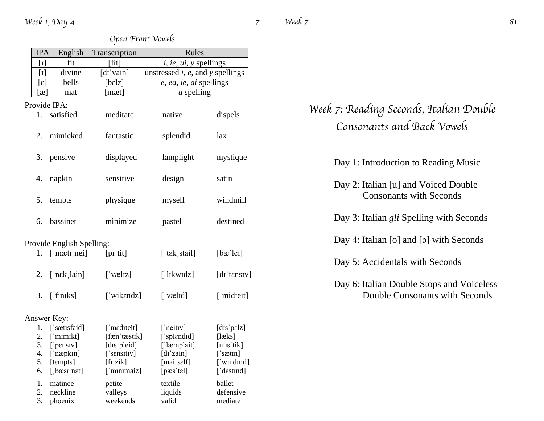|             | <b>IPA</b> | English                                     | Transcription                   | Rules                                    |                                  |
|-------------|------------|---------------------------------------------|---------------------------------|------------------------------------------|----------------------------------|
|             | $[1]$      | fit                                         | [fɪt]                           | <i>i, ie, ui, y spellings</i>            |                                  |
|             | $[1]$      | divine                                      | [dɪˈvain]                       | unstressed $i$ , $e$ , and $y$ spellings |                                  |
|             | [ɛ]        | bells                                       | [bɛlz]                          | e, ea, ie, ai spellings                  |                                  |
|             | $\alpha$   | mat                                         | [mæt]                           | $a$ spelling                             |                                  |
|             |            | Provide IPA:                                |                                 |                                          |                                  |
|             | 1.         | satisfied                                   | meditate                        | native                                   | dispels                          |
|             |            | 2. mimicked                                 | fantastic                       | splendid                                 | lax                              |
|             |            | 3. pensive                                  | displayed                       | lamplight                                | mystique                         |
|             |            | 4. napkin                                   | sensitive                       | design                                   | satin                            |
|             | 5.         | tempts                                      | physique                        | myself                                   | windmill                         |
|             |            | 6. bassinet                                 | minimize                        | pastel                                   | destined                         |
|             |            | Provide English Spelling:                   |                                 |                                          |                                  |
|             |            | 1. $[$ mæt $i$ nei]                         | $[pi'$ tit]                     | [' $tek$ stail]                          | $[ba'$ lei $]$                   |
|             |            | 2. $[\nexists \text{rk} \cdot \text{lain}]$ | $\lceil$ 'væl $\lceil z \rceil$ | $\lceil$ 'lıkwıdz $\rceil$               | $\left[$ dı' $f$ ensiv $\right]$ |
|             |            | $3.$ ['finks]                               | ['wikendz]                      | $\lceil$ 'væl $\lceil$                   | ['midieit]                       |
| Answer Key: |            |                                             |                                 |                                          |                                  |
|             |            | 1. ['sætisfaid]                             | ['mediteit]                     | $\lceil$ 'neitry]                        | [dis'pelz]                       |
|             |            | 2. ['mimikt]                                | [fæn 'tæstɪk]                   | ['splendid]                              | [læks]                           |
|             |            | 3. ['pensiv]                                | [dis pleid]                     | ['læmplait]                              | [m <sub>1</sub> stik]            |
|             |            | 4. ['næpkɪn]                                | ['sɛnsɪtɪv]                     | $[dI']$ zain]                            | $[$ 'sætin]                      |
|             | 5.         | [tempts]                                    | $[$ fi'zik $]$                  | [mai'self]                               | ['windmil]                       |
|             | 6.         | [bæsi'net]                                  | ['minimaiz]                     | [pass'tel]                               | ['destind]                       |
|             | 1.         | matinee                                     | petite                          | textile                                  | ballet                           |
|             | 2.         | neckline                                    | valleys                         | liquids                                  | defensive                        |
|             | 3.         | phoenix                                     | weekends                        | valid                                    | mediate                          |

#### *Open Front Vowels*

| Week 7: Reading Seconds, Italian Double |
|-----------------------------------------|
| Consonants and Back Vowels              |

Day 1: Introduction to Reading Music

Day 2: Italian [u] and Voiced Double Consonants with Seconds

Day 3: Italian *gli* Spelling with Seconds

Day 4: Italian [o] and [ɔ] with Seconds

Day 5: Accidentals with Seconds

Day 6: Italian Double Stops and Voiceless Double Consonants with Seconds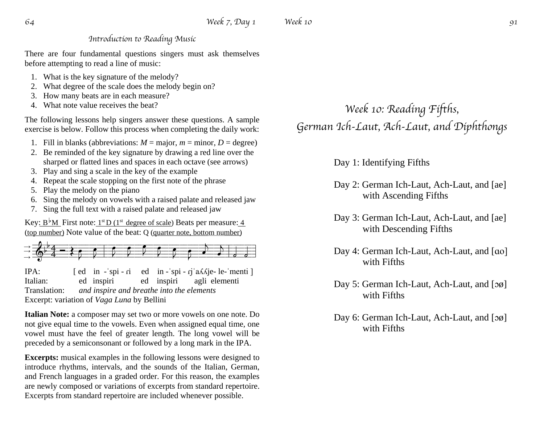#### *Introduction to Reading Music*

There are four fundamental questions singers must ask themselves before attempting to read a line of music:

- 1. What is the key signature of the melody?
- 2. What degree of the scale does the melody begin on?
- 3. How many beats are in each measure?
- 4. What note value receives the beat?

The following lessons help singers answer these questions. A sample exercise is below. Follow this process when completing the daily work:

- 1. Fill in blanks (abbreviations:  $M = \text{major}, m = \text{minor}, D = \text{degree}$ )
- 2. Be reminded of the key signature by drawing a red line over the sharped or flatted lines and spaces in each octave (see arrows)
- 3. Play and sing a scale in the key of the example
- 4. Repeat the scale stopping on the first note of the phrase
- 5. Play the melody on the piano
- 6. Sing the melody on vowels with a raised palate and released jaw
- 7. Sing the full text with a raised palate and released jaw

Key:  $B^{\dagger}M$  First note:  $1^{st}D(1^{st}$  degree of scale) Beats per measure: 4 (top number) Note value of the beat: Q (quarter note, bottom number)

 =&==4-;----:=H===I=!==J===J===K===J===I===H===G===F=!-=e==e=!  $\rightarrow$  $\rightarrow$  $\rightarrow$  $\frac{1}{2}$  $\frac{1}{\sqrt{2}}$ 

IPA: [ ed in - spi - ri ed in - spi - rj a $\Delta$ Kje- le-'menti ] Italian: ed inspiri ed inspiri agli elementi Translation: *and inspire and breathe into the elements* Excerpt: variation of *Vaga Luna* by Bellini

**Italian Note:** a composer may set two or more vowels on one note. Do not give equal time to the vowels. Even when assigned equal time, one vowel must have the feel of greater length. The long vowel will be preceded by a semiconsonant or followed by a long mark in the IPA.

**Excerpts:** musical examples in the following lessons were designed to introduce rhythms, intervals, and the sounds of the Italian, German, and French languages in a graded order. For this reason, the examples are newly composed or variations of excerpts from standard repertoire. Excerpts from standard repertoire are included whenever possible.

## *Week 10: Reading Fifths, German Ich-Laut, Ach-Laut, and Diphthongs*

Day 1: Identifying Fifths

- Day 2: German Ich-Laut, Ach-Laut, and [ae] with Ascending Fifths
- Day 3: German Ich-Laut, Ach-Laut, and [ae] with Descending Fifths
- Day 4: German Ich-Laut, Ach-Laut, and [ɑo] with Fifths
- Day 5: German Ich-Laut, Ach-Laut, and [og] with Fifths
- Day 6: German Ich-Laut, Ach-Laut, and [og] with Fifths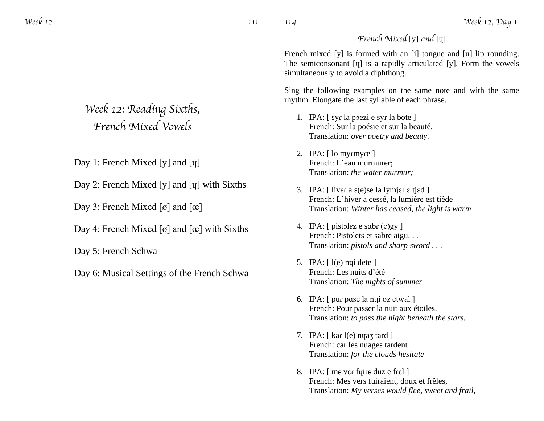*French Mixed* [y] *and* [ɥ]

French mixed [y] is formed with an [i] tongue and [u] lip rounding. The semiconsonant [ɥ] is a rapidly articulated [y]. Form the vowels simultaneously to avoid a diphthong.

Sing the following examples on the same note and with the same rhythm. Elongate the last syllable of each phrase.

- 1. IPA: [ syɾ la pɔezi e syɾ la bote ] French: Sur la poésie et sur la beauté. Translation: *over poetry and beauty.*
- 2. IPA: [ lo myrmyre ] French: L'eau murmurer; Translation: *the water murmur;*
- 3. IPA:  $\lceil$  liver a s(e)se la lymjer  $\epsilon$  tjed  $\rceil$ French: L'hiver a cessé, la lumière est tiède Translation: *Winter has ceased, the light is warm*
- 4. IPA: [ pistolez e sabr (e)gy ] French: Pistolets et sabre aigu. . . Translation: *pistols and sharp sword . . .*
- 5. IPA: [ l(e) nɥi dete ] French: Les nuits d'été Translation: *The nights of summer*
- 6. IPA: [ puɾ pɑse la nɥi oz etwal ] French: Pour passer la nuit aux étoiles. Translation: *to pass the night beneath the stars.*
- 7. IPA: [ kar l(e) nyaz tard ] French: car les nuages tardent Translation: *for the clouds hesitate*
- 8. IPA:  $\lceil$  me ver fuire duz e frel  $\lceil$ French: Mes vers fuiraient, doux et frêles, Translation: *My verses would flee, sweet and frail,*

## *Week 12: Reading Sixths, French Mixed Vowels*

Day 1: French Mixed [y] and [q]

Day 2: French Mixed [y] and [ɥ] with Sixths

Day 3: French Mixed [ø] and  $[\alpha]$ 

Day 4: French Mixed [ø] and  $[\alpha]$  with Sixths

Day 5: French Schwa

Day 6: Musical Settings of the French Schwa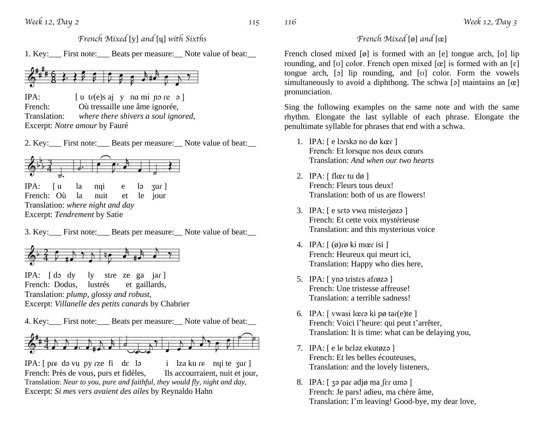*French Mixed* [y] *and* [ɥ] *with Sixths*

1. Key: First note: Beats per measure: Note value of beat:



IPA: [ u tɾ(e)s aj y nɑ mi ɲɔ ɾe ə ] French: Où tressaille une âme ignorée, Translation: *where there shivers a soul ignored,* Excerpt: *Notre amour* by Fauré

2. Key: First note: Beats per measure: Note value of beat:



3. Key: First note: Beats per measure: Note value of beat:



IPA:  $\lceil \text{do } \text{dy} \rceil$  is the ze ga jar  $\lceil \text{do } \text{dy} \rceil$ French: Dodus, lustrés et gaillards, Translation: *plump, glossy and robust,* Excerpt: *Villanelle des petits canards* by Chabrier

4. Key:\_\_\_ First note:\_\_\_ Beats per measure:\_\_ Note value of beat:\_\_



IPA:  $[$  pre də vu py rze fi de lə i lza ku re nyi te zur  $]$ French: Près de vous, purs et fidèles, Ils accourraient, nuit et jour, Translation: *Near to you, pure and faithful, they would fly, night and day,*  Excerpt: *Si mes vers avaient des ailes* by Reynaldo Hahn

#### *French Mixed* [ø] *and* [œ]

French closed mixed [ø] is formed with an [e] tongue arch, [o] lip rounding, and [v] color. French open mixed  $[\alpha]$  is formed with an  $[\varepsilon]$ tongue arch, [ɔ] lip rounding, and [ʊ] color. Form the vowels simultaneously to avoid a diphthong. The schwa [ə] maintains an  $[\alpha]$ pronunciation.

Sing the following examples on the same note and with the same rhythm. Elongate the last syllable of each phrase. Elongate the penultimate syllable for phrases that end with a schwa.

- 1. IPA: [ e lɔɾskə no dø kœɾ ] French: Et lorsque nos deux cœurs Translation: *And when our two hearts*
- 2. IPA:  $\lceil \text{flær tu dø} \rceil$ French: Fleurs tous deux! Translation: both of us are flowers!
- 3. IPA: [ e sɛtə vwɑ misteɾjøzə ] French: Et cette voix mystérieuse Translation: and this mysterious voice
- 4. IPA:  $\lceil \phi \rceil$  ( $\phi$ )  $\lceil \phi \rceil$  ki mœr isi  $\lceil \phi \rceil$ French: Heureux qui meurt ici, Translation: Happy who dies here,
- 5. IPA: [ ynə tristes afrøzə ] French: Une tristesse affreuse! Translation: a terrible sadness!
- 6. IPA: [ vwasi lœɾə ki pø taɾ(e)te ] French: Voici l'heure: qui peut t'arrêter, Translation: It is time: what can be delaying you,
- 7. IPA: [ e lɛ bɛləz ekutøzə ] French: Et les belles écouteuses, Translation: and the lovely listeners,
- 8. IPA: [ ʒə paɾ adjø ma ʃɛɾ ɑmə ] French: Je pars! adieu, ma chère âme, Translation: I'm leaving! Good-bye, my dear love,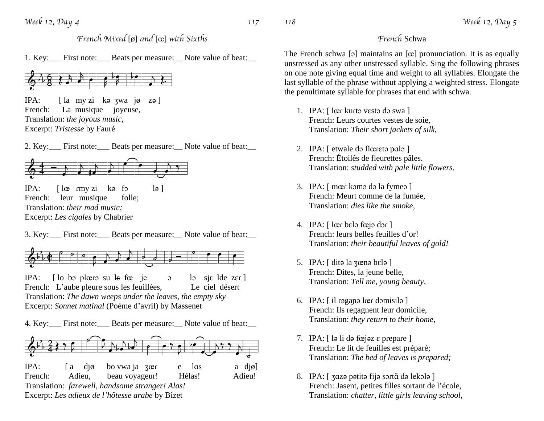*French* Schwa

The French schwa [ə] maintains an [œ] pronunciation. It is as equally unstressed as any other unstressed syllable. Sing the following phrases on one note giving equal time and weight to all syllables. Elongate the last syllable of the phrase without applying a weighted stress. Elongate the penultimate syllable for phrases that end with schwa.

- 1. IPA: [ lœɾ kuɾtə vɛstə də swa ] French: Leurs courtes vestes de soie, Translation: *Their short jackets of silk,*
- 2. IPA: [ etwale də flœɾɛtə pɑlə ] French: Étoilés de fleurettes pâles. Translation: *studded with pale little flowers.*
- 3. IPA: [ mœɾ kɔmə də la fymeə ] French: Meurt comme de la fumée, Translation: *dies like the smoke,*
- 4. IPA: [ lœɾ bɛlə fœjə dɔɾ ] French: leurs belles feuilles d'or! Translation: *their beautiful leaves of gold!*
- 5. IPA: [ ditə la ʒœnə bɛlə ] French: Dites, la jeune belle, Translation: *Tell me, young beauty,*
- 6. IPA: [ il ɾəgaɲə lœɾ dɔmisilə ] French: Ils regagnent leur domicile, Translation: *they return to their home,*
- 7. IPA:  $\lceil \ln \text{ln} \rceil$  də fœjəz  $\epsilon$  prepare  $\lceil \text{ln} \rceil$ French: Le lit de feuilles est préparé; Translation: *The bed of leaves is prepared;*
- 8. IPA: [ 302 pətitə fijə sərtã də lekələ ] French: Jasent, petites filles sortant de l'école, Translation: *chatter, little girls leaving school,*

*French Mixed* [ø] *and* [œ] *with Sixths*

1. Key:\_\_\_ First note:\_\_\_ Beats per measure:\_\_ Note value of beat:\_\_



IPA: [ la my zi kə ʒwa jø zə ] French: La musique joyeuse, Translation: *the joyous music,* Excerpt: *Tristesse* by Fauré

2. Key:\_\_\_ First note:\_\_\_ Beats per measure:\_\_ Note value of beat:\_\_



IPA:  $\lceil \ln \sqrt{|\cos \theta|} \rceil$   $\lceil \ln \sqrt{|\cos \theta|} \rceil$ French: leur musique folle; Translation: *their mad music;* Excerpt: *Les cigales* by Chabrier

<sup>3.</sup> Key: First note: Beats per measure: Note value of beat:



IPA: [ lo bə plœɾə su lɛ fœ je ə lə sjɛ lde zɛɾ ] French: L'aube pleure sous les feuillées, Le ciel désert Translation: *The dawn weeps under the leaves, the empty sky* Excerpt: *Sonnet matinal* (Poème d'avril) by Massenet

4. Key:\_\_\_ First note:\_\_\_ Beats per measure:\_\_ Note value of beat:\_\_

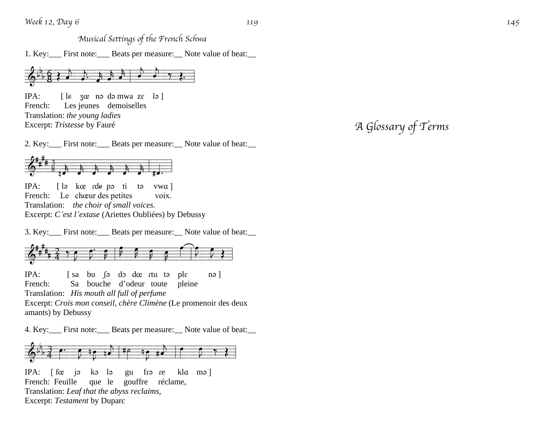*Musical Settings of the French Schwa*

1. Key:\_\_\_ First note:\_\_\_ Beats per measure:\_\_ Note value of beat:\_\_



IPA:  $\epsilon$  30 no də mwa ze lə] French: Les jeunes demoiselles Translation: *the young ladies* Excerpt: *Tristesse* by Fauré

*A Glossary of Terms*

2. Key:\_\_\_ First note:\_\_\_ Beats per measure:\_\_ Note value of beat:\_\_



 $IPA:$  $\circ$  kœ rde p $\circ$  ti t ə vwɑ ] French: Le chœur des petites voix. Translation: *the choir of small voices.* Excerpt: *C 'est l 'extase* (Ariettes Oubliées) by Debussy

3. Key:\_\_\_ First note:\_\_\_ Beats per measure:\_\_ Note value of beat:\_\_



IPA: [sa bu ʃə do dœ rtu tə ple n ə ] French: Sa bouche d 'odeur toute pleine Translation: *His mouth all full of perfume* Excerpt: *Crois mon conseil, chère Climène* (Le promenoir des deux amants) by Debussy

4. Key:\_\_\_ First note:\_\_\_ Beats per measure:\_\_ Note value of beat:\_\_



IPA:  $\int$  for iə k ə l gu fra re kla mə ] French: Feuille que le gouffre réclame, Translation: *Leaf that the abyss reclaims,* Excerpt: *Testament* by Duparc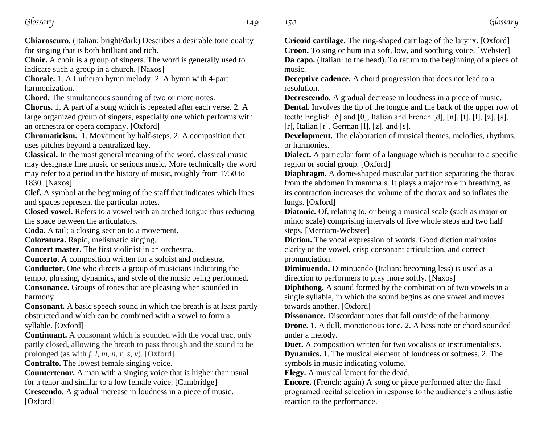*Glossary 149*

**Chiaroscuro.** (Italian: bright/dark) Describes a desirable tone quality for singing that is both brilliant and rich.

**Choir.** A choir is a group of singers. The word is generally used to indicate such a group in a church. [Naxos]

**Chorale.** 1. A Lutheran hymn melody. 2. A hymn with 4-part harmonization.

**Chord.** The simultaneous sounding of two or more notes.

**Chorus.** 1. A part of a song which is repeated after each verse. 2. A large organized group of singers, especially one which performs with an orchestra or opera company. [Oxford]

**Chromaticism.** 1. Movement by half-steps. 2. A composition that uses pitches beyond a centralized key.

**Classical.** In the most general meaning of the word, classical music may designate fine music or serious music. More technically the word may refer to a period in the history of music, roughly from 1750 to 1830. [Naxos]

**Clef.** A symbol at the beginning of the staff that indicates which lines and spaces represent the particular notes.

**Closed vowel.** Refers to a vowel with an arched tongue thus reducing the space between the articulators.

**Coda.** A tail; a closing section to a movement.

**Coloratura.** Rapid, melismatic singing.

**Concert master.** The first violinist in an orchestra.

**Concerto.** A composition written for a soloist and orchestra.

**Conductor.** One who directs a group of musicians indicating the tempo, phrasing, dynamics, and style of the music being performed. **Consonance.** Groups of tones that are pleasing when sounded in

harmony. **Consonant.** A basic speech sound in which the breath is at least partly obstructed and which can be combined with a vowel to form a

syllable. [Oxford]

**Continuant.** A consonant which is sounded with the vocal tract only partly closed, allowing the breath to pass through and the sound to be prolonged (as with *f, l, m, n, r, s, v*). [Oxford]

**Contralto.** The lowest female singing voice.

**Countertenor.** A man with a singing voice that is higher than usual for a tenor and similar to a low female voice. [Cambridge]

**Crescendo.** A gradual increase in loudness in a piece of music. [Oxford]

**Cricoid cartilage.** The ring-shaped cartilage of the larynx. [Oxford] **Croon.** To sing or hum in a soft, low, and soothing voice. [Webster] **Da capo.** (Italian: to the head). To return to the beginning of a piece of music.

**Deceptive cadence.** A chord progression that does not lead to a resolution.

**Decrescendo.** A gradual decrease in loudness in a piece of music. **Dental.** Involves the tip of the tongue and the back of the upper row of teeth: English [ð] and  $[\theta]$ , Italian and French  $[d]$ ,  $[n]$ ,  $[t]$ ,  $[I]$ ,  $[z]$ ,  $[s]$ ,  $[r]$ , Italian  $[r]$ , German  $[1]$ ,  $[z]$ , and  $[s]$ .

**Development.** The elaboration of musical themes, melodies, rhythms, or harmonies.

**Dialect.** A particular form of a language which is peculiar to a specific region or social group. [Oxford]

**Diaphragm.** A dome-shaped muscular partition separating the thorax from the abdomen in mammals. It plays a major role in breathing, as its contraction increases the volume of the thorax and so inflates the lungs. [Oxford]

**Diatonic.** Of, relating to, or being a musical scale (such as major or minor scale) comprising intervals of five whole steps and two half steps. [Merriam-Webster]

**Diction.** The vocal expression of words. Good diction maintains clarity of the vowel, crisp consonant articulation, and correct pronunciation.

**Diminuendo.** Diminuendo **(**Italian: becoming less) is used as a direction to performers to play more softly. [Naxos]

**Diphthong.** A sound formed by the combination of two vowels in a single syllable, in which the sound begins as one vowel and moves towards another. [Oxford]

**Dissonance.** Discordant notes that fall outside of the harmony.

**Drone.** 1. A dull, monotonous tone. 2. A bass note or chord sounded under a melody.

**Duet.** A composition written for two vocalists or instrumentalists.

**Dynamics.** 1. The musical element of loudness or softness. 2. The symbols in music indicating volume.

**Elegy.** A musical lament for the dead.

**Encore.** (French: again) A song or piece performed after the final programed recital selection in response to the audience's enthusiastic reaction to the performance.